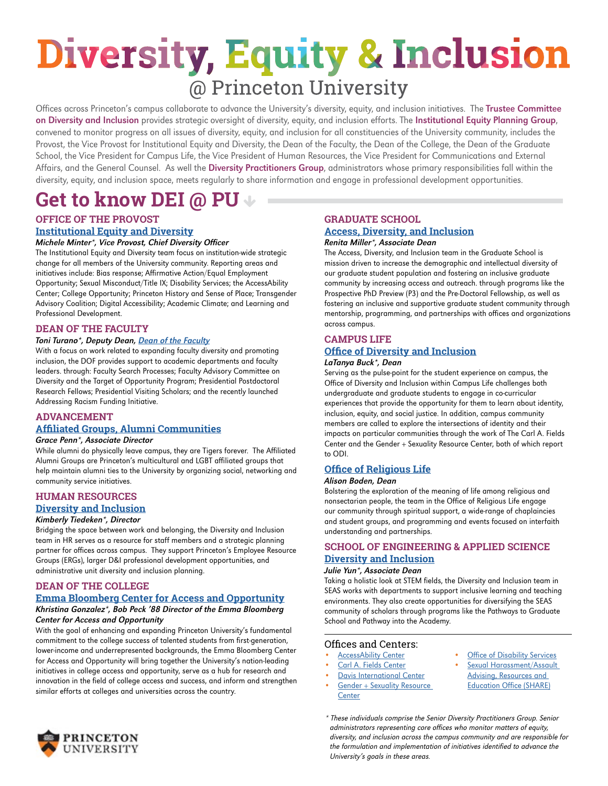## **Diversity, Equity & Inclusion** @ Princeton University

Offices across Princeton's campus collaborate to advance the University's diversity, equity, and inclusion initiatives. The Trustee Committee on Diversity and Inclusion provides strategic oversight of diversity, equity, and inclusion efforts. The Institutional Equity Planning Group, convened to monitor progress on all issues of diversity, equity, and inclusion for all constituencies of the University community, includes the Provost, the Vice Provost for Institutional Equity and Diversity, the Dean of the Faculty, the Dean of the College, the Dean of the Graduate School, the Vice President for Campus Life, the Vice President of Human Resources, the Vice President for Communications and External Affairs, and the General Counsel. As well the Diversity Practitioners Group, administrators whose primary responsibilities fall within the diversity, equity, and inclusion space, meets regularly to share information and engage in professional development opportunities.

## **Get to know DEI @ PU**

## **OFFICE OF THE PROVOST [Institutional Equity and Diversity](https://inclusive.princeton.edu/)**

#### Michele Minter\*, Vice Provost, Chief Diversity Officer

The Institutional Equity and Diversity team focus on institution-wide strategic change for all members of the University community. Reporting areas and initiatives include: Bias response; Affirmative Action/Equal Employment Opportunity; Sexual Misconduct/Title IX; Disability Services; the AccessAbility Center; College Opportunity; Princeton History and Sense of Place; Transgender Advisory Coalition; Digital Accessibility; Academic Climate; and Learning and Professional Development.

## **DEAN OF THE FACULTY**

#### Toni Turano\*, Deputy Dean, [Dean of the Faculty](https://dof.princeton.edu/faculty-diversity-and-inclusion)

With a focus on work related to expanding faculty diversity and promoting inclusion, the DOF provides support to academic departments and faculty leaders. through: Faculty Search Processes; Faculty Advisory Committee on Diversity and the Target of Opportunity Program; Presidential Postdoctoral Research Fellows; Presidential Visiting Scholars; and the recently launched Addressing Racism Funding Initiative.

## **ADVANCEMENT**

## **[Affiliated Groups, Alumni Communities](https://alumni.princeton.edu/communities/affiliatedgroups)**

#### Grace Penn\*, Associate Director

While alumni do physically leave campus, they are Tigers forever. The Affiliated Alumni Groups are Princeton's multicultural and LGBT affiliated groups that help maintain alumni ties to the University by organizing social, networking and community service initiatives.

## **HUMAN RESOURCES**

## **[Diversity and Inclusion](https://hr.princeton.edu/life/community#inclusive)**

#### Kimberly Tiedeken\*, Director

Bridging the space between work and belonging, the Diversity and Inclusion team in HR serves as a resource for staff members and a strategic planning partner for offices across campus. They support Princeton's Employee Resource Groups (ERGs), larger D&I professional development opportunities, and administrative unit diversity and inclusion planning.

### **DEAN OF THE COLLEGE**

## **Emma Bloomberg Center for Access and Opportunity**

#### Khristina Gonzalez\*, Bob Peck '88 Director of the Emma Bloomberg Center for Access and Opportunity

With the goal of enhancing and expanding Princeton University's fundamental commitment to the college success of talented students from first-generation, lower-income and underrepresented backgrounds, the Emma Bloomberg Center for Access and Opportunity will bring together the University's nation-leading initiatives in college access and opportunity, serve as a hub for research and innovation in the field of college access and success, and inform and strengthen similar efforts at colleges and universities across the country.

## **GRADUATE SCHOOL [Access, Diversity, and Inclusion](https://graddiversity.princeton.edu/)**

#### Renita Miller\*, Associate Dean

The Access, Diversity, and Inclusion team in the Graduate School is mission driven to increase the demographic and intellectual diversity of our graduate student population and fostering an inclusive graduate community by increasing access and outreach. through programs like the Prospective PhD Preview (P3) and the Pre-Doctoral Fellowship, as well as fostering an inclusive and supportive graduate student community through mentorship, programming, and partnerships with offices and organizations across campus.

### **CAMPUS LIFE [Office of Diversity and Inclusion](https://odi.princeton.edu/)**

## LaTanya Buck\*, Dean

Serving as the pulse-point for the student experience on campus, the Office of Diversity and Inclusion within Campus Life challenges both undergraduate and graduate students to engage in co-curricular experiences that provide the opportunity for them to learn about identity, inclusion, equity, and social justice. In addition, campus community members are called to explore the intersections of identity and their impacts on particular communities through the work of The Carl A. Fields Center and the Gender + Sexuality Resource Center, both of which report to ODI.

## **[Office of Religious Life](https://religiouslife.princeton.edu/)**

#### Alison Boden, Dean

Bolstering the exploration of the meaning of life among religious and nonsectarian people, the team in the Office of Religious Life engage our community through spiritual support, a wide-range of chaplaincies and student groups, and programming and events focused on interfaith understanding and partnerships.

## **SCHOOL OF ENGINEERING & APPLIED SCIENCE [Diversity and Inclusion](https://engineering.princeton.edu/diversity-and-inclusion)**

## Julie Yun\*, Associate Dean

Taking a holistic look at STEM fields, the Diversity and Inclusion team in SEAS works with departments to support inclusive learning and teaching environments. They also create opportunities for diversifying the SEAS community of scholars through programs like the Pathways to Graduate School and Pathway into the Academy.

## Offices and Centers:

- **[AccessAbility Center](https://ods.princeton.edu/accessability)**
- [Carl A. Fields Center](http://fieldscenter.princeton.edu/)
- **[Davis International Center](https://davisic.princeton.edu/)**
- Gender + Sexuality Resource
- Sexual Harassment/Assault [Advising, Resources and](https://share.princeton.edu/)

**[Office of Disability Services](https://ods.princeton.edu/)** 

- **[Center](https://www.gsrc.princeton.edu)**
- [Education Office \(SHARE\)](https://share.princeton.edu/)
- \* These individuals comprise the Senior Diversity Practitioners Group. Senior administrators representing core offices who monitor matters of equity, diversity, and inclusion across the campus community and are responsible for the formulation and implementation of initiatives identified to advance the University's goals in these areas.

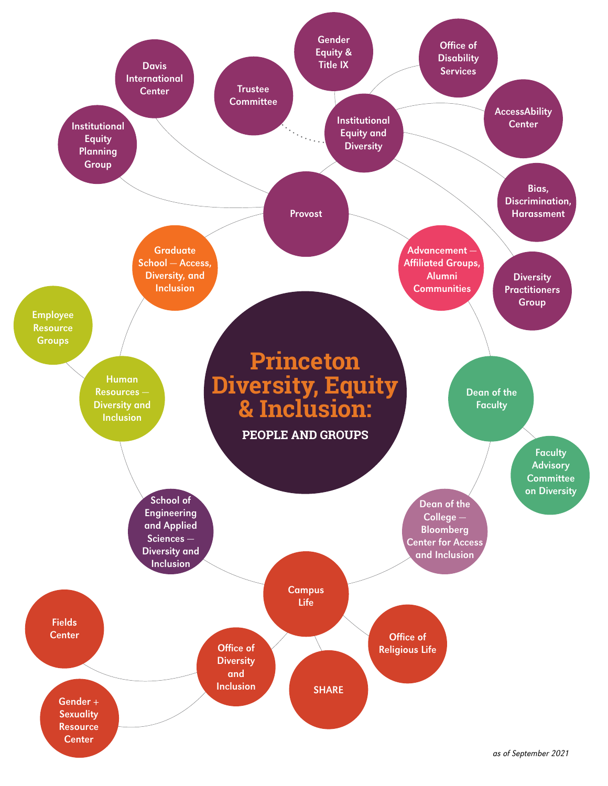